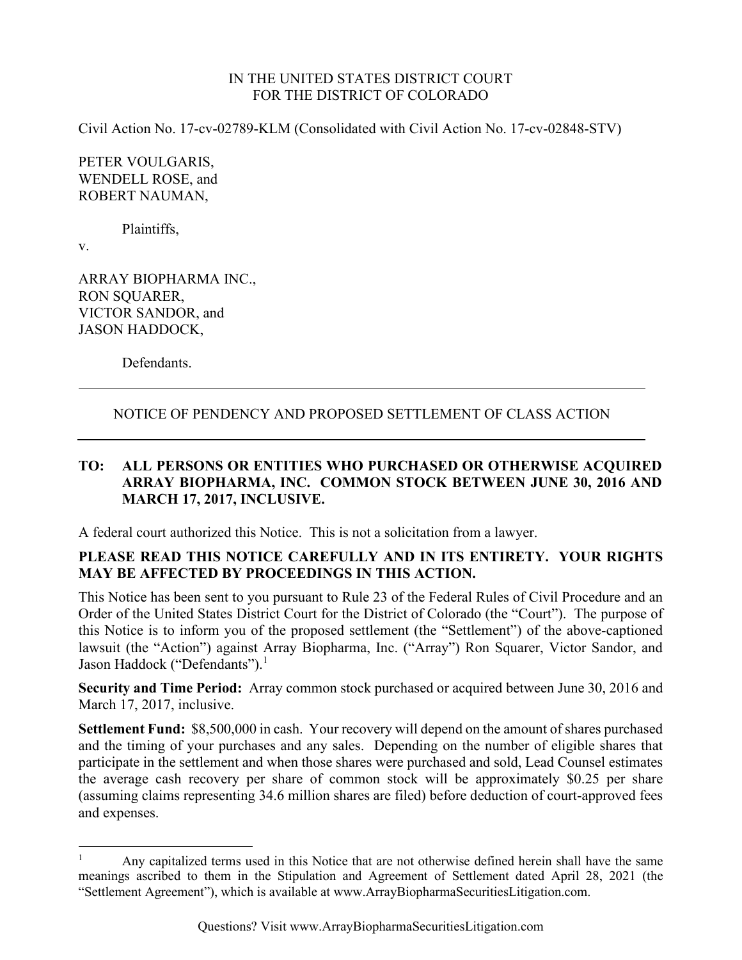#### IN THE UNITED STATES DISTRICT COURT FOR THE DISTRICT OF COLORADO

Civil Action No. 17-cv-02789-KLM (Consolidated with Civil Action No. 17-cv-02848-STV)

PETER VOULGARIS, WENDELL ROSE, and ROBERT NAUMAN,

Plaintiffs,

v.

ARRAY BIOPHARMA INC., RON SQUARER, VICTOR SANDOR, and JASON HADDOCK,

Defendants.

## NOTICE OF PENDENCY AND PROPOSED SETTLEMENT OF CLASS ACTION

## **TO: ALL PERSONS OR ENTITIES WHO PURCHASED OR OTHERWISE ACQUIRED ARRAY BIOPHARMA, INC. COMMON STOCK BETWEEN JUNE 30, 2016 AND MARCH 17, 2017, INCLUSIVE.**

A federal court authorized this Notice. This is not a solicitation from a lawyer.

## **PLEASE READ THIS NOTICE CAREFULLY AND IN ITS ENTIRETY. YOUR RIGHTS MAY BE AFFECTED BY PROCEEDINGS IN THIS ACTION.**

This Notice has been sent to you pursuant to Rule 23 of the Federal Rules of Civil Procedure and an Order of the United States District Court for the District of Colorado (the "Court"). The purpose of this Notice is to inform you of the proposed settlement (the "Settlement") of the above-captioned lawsuit (the "Action") against Array Biopharma, Inc. ("Array") Ron Squarer, Victor Sandor, and Jason Haddock ("Defendants").<sup>1</sup>

**Security and Time Period:** Array common stock purchased or acquired between June 30, 2016 and March 17, 2017, inclusive.

**Settlement Fund:** \$8,500,000 in cash. Your recovery will depend on the amount of shares purchased and the timing of your purchases and any sales. Depending on the number of eligible shares that participate in the settlement and when those shares were purchased and sold, Lead Counsel estimates the average cash recovery per share of common stock will be approximately \$0.25 per share (assuming claims representing 34.6 million shares are filed) before deduction of court-approved fees and expenses.

<sup>1</sup> Any capitalized terms used in this Notice that are not otherwise defined herein shall have the same meanings ascribed to them in the Stipulation and Agreement of Settlement dated April 28, 2021 (the "Settlement Agreement"), which is available at www.ArrayBiopharmaSecuritiesLitigation.com.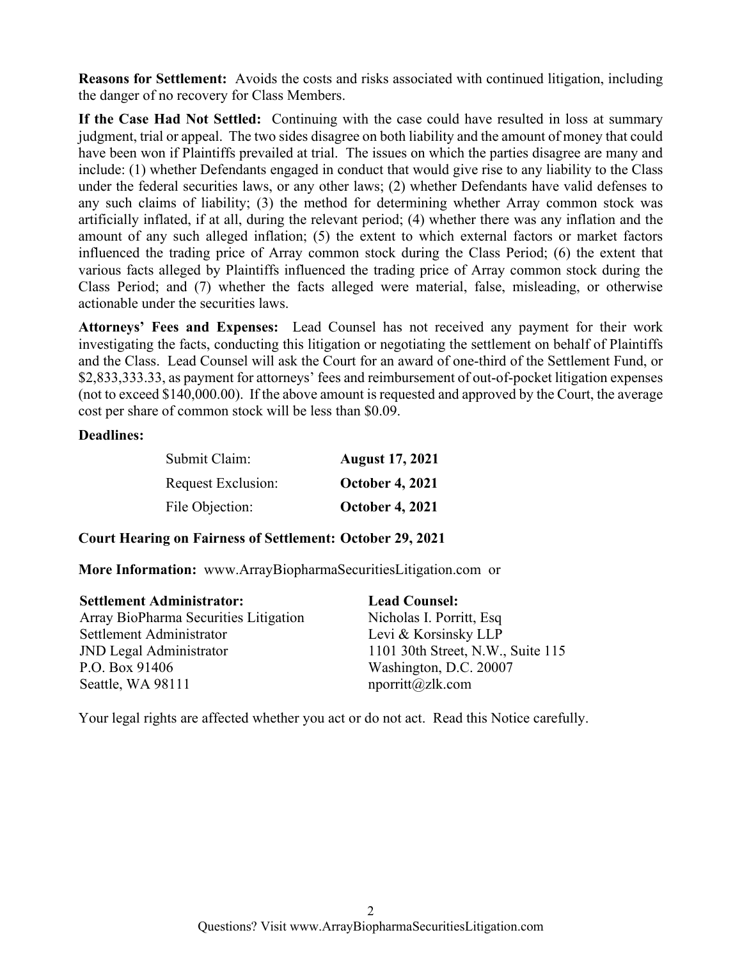**Reasons for Settlement:** Avoids the costs and risks associated with continued litigation, including the danger of no recovery for Class Members.

**If the Case Had Not Settled:** Continuing with the case could have resulted in loss at summary judgment, trial or appeal. The two sides disagree on both liability and the amount of money that could have been won if Plaintiffs prevailed at trial. The issues on which the parties disagree are many and include: (1) whether Defendants engaged in conduct that would give rise to any liability to the Class under the federal securities laws, or any other laws; (2) whether Defendants have valid defenses to any such claims of liability; (3) the method for determining whether Array common stock was artificially inflated, if at all, during the relevant period; (4) whether there was any inflation and the amount of any such alleged inflation; (5) the extent to which external factors or market factors influenced the trading price of Array common stock during the Class Period; (6) the extent that various facts alleged by Plaintiffs influenced the trading price of Array common stock during the Class Period; and (7) whether the facts alleged were material, false, misleading, or otherwise actionable under the securities laws.

**Attorneys' Fees and Expenses:** Lead Counsel has not received any payment for their work investigating the facts, conducting this litigation or negotiating the settlement on behalf of Plaintiffs and the Class. Lead Counsel will ask the Court for an award of one-third of the Settlement Fund, or \$2,833,333.33, as payment for attorneys' fees and reimbursement of out-of-pocket litigation expenses (not to exceed \$140,000.00). If the above amount is requested and approved by the Court, the average cost per share of common stock will be less than \$0.09.

#### **Deadlines:**

| Submit Claim:      | <b>August 17, 2021</b> |
|--------------------|------------------------|
| Request Exclusion: | <b>October 4, 2021</b> |
| File Objection:    | <b>October 4, 2021</b> |

#### **Court Hearing on Fairness of Settlement: October 29, 2021**

**More Information:** www.ArrayBiopharmaSecuritiesLitigation.com or

| <b>Settlement Administrator:</b>      | <b>Lead Counsel:</b>              |
|---------------------------------------|-----------------------------------|
| Array BioPharma Securities Litigation | Nicholas I. Porritt, Esq          |
| Settlement Administrator              | Levi & Korsinsky LLP              |
| <b>JND Legal Administrator</b>        | 1101 30th Street, N.W., Suite 115 |
| P.O. Box 91406                        | Washington, D.C. 20007            |
| Seattle, WA 98111                     | $n$ porritt@zlk.com               |

Your legal rights are affected whether you act or do not act. Read this Notice carefully.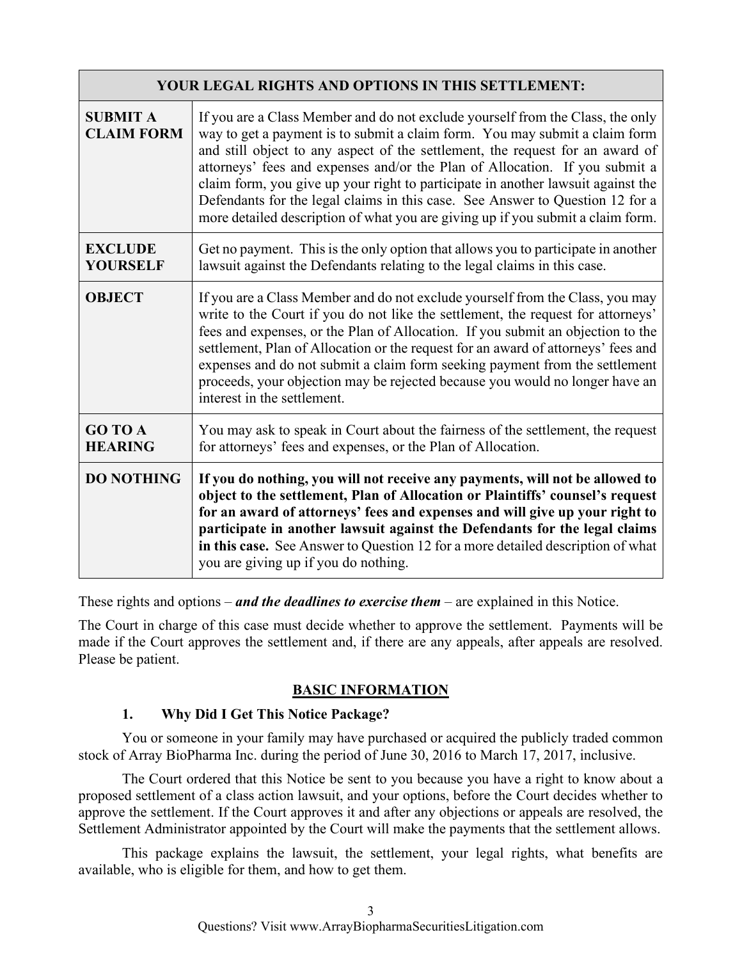| <b>YOUR LEGAL RIGHTS AND OPTIONS IN THIS SETTLEMENT:</b> |                                                                                                                                                                                                                                                                                                                                                                                                                                                                                                                                                                                       |  |  |  |
|----------------------------------------------------------|---------------------------------------------------------------------------------------------------------------------------------------------------------------------------------------------------------------------------------------------------------------------------------------------------------------------------------------------------------------------------------------------------------------------------------------------------------------------------------------------------------------------------------------------------------------------------------------|--|--|--|
| <b>SUBMIT A</b><br><b>CLAIM FORM</b>                     | If you are a Class Member and do not exclude yourself from the Class, the only<br>way to get a payment is to submit a claim form. You may submit a claim form<br>and still object to any aspect of the settlement, the request for an award of<br>attorneys' fees and expenses and/or the Plan of Allocation. If you submit a<br>claim form, you give up your right to participate in another lawsuit against the<br>Defendants for the legal claims in this case. See Answer to Question 12 for a<br>more detailed description of what you are giving up if you submit a claim form. |  |  |  |
| <b>EXCLUDE</b><br><b>YOURSELF</b>                        | Get no payment. This is the only option that allows you to participate in another<br>lawsuit against the Defendants relating to the legal claims in this case.                                                                                                                                                                                                                                                                                                                                                                                                                        |  |  |  |
| <b>OBJECT</b>                                            | If you are a Class Member and do not exclude yourself from the Class, you may<br>write to the Court if you do not like the settlement, the request for attorneys'<br>fees and expenses, or the Plan of Allocation. If you submit an objection to the<br>settlement, Plan of Allocation or the request for an award of attorneys' fees and<br>expenses and do not submit a claim form seeking payment from the settlement<br>proceeds, your objection may be rejected because you would no longer have an<br>interest in the settlement.                                               |  |  |  |
| <b>GO TO A</b><br><b>HEARING</b>                         | You may ask to speak in Court about the fairness of the settlement, the request<br>for attorneys' fees and expenses, or the Plan of Allocation.                                                                                                                                                                                                                                                                                                                                                                                                                                       |  |  |  |
| <b>DO NOTHING</b>                                        | If you do nothing, you will not receive any payments, will not be allowed to<br>object to the settlement, Plan of Allocation or Plaintiffs' counsel's request<br>for an award of attorneys' fees and expenses and will give up your right to<br>participate in another lawsuit against the Defendants for the legal claims<br>in this case. See Answer to Question 12 for a more detailed description of what<br>you are giving up if you do nothing.                                                                                                                                 |  |  |  |

These rights and options – *and the deadlines to exercise them* – are explained in this Notice.

The Court in charge of this case must decide whether to approve the settlement. Payments will be made if the Court approves the settlement and, if there are any appeals, after appeals are resolved. Please be patient.

# **BASIC INFORMATION**

# **1. Why Did I Get This Notice Package?**

You or someone in your family may have purchased or acquired the publicly traded common stock of Array BioPharma Inc. during the period of June 30, 2016 to March 17, 2017, inclusive.

The Court ordered that this Notice be sent to you because you have a right to know about a proposed settlement of a class action lawsuit, and your options, before the Court decides whether to approve the settlement. If the Court approves it and after any objections or appeals are resolved, the Settlement Administrator appointed by the Court will make the payments that the settlement allows.

This package explains the lawsuit, the settlement, your legal rights, what benefits are available, who is eligible for them, and how to get them.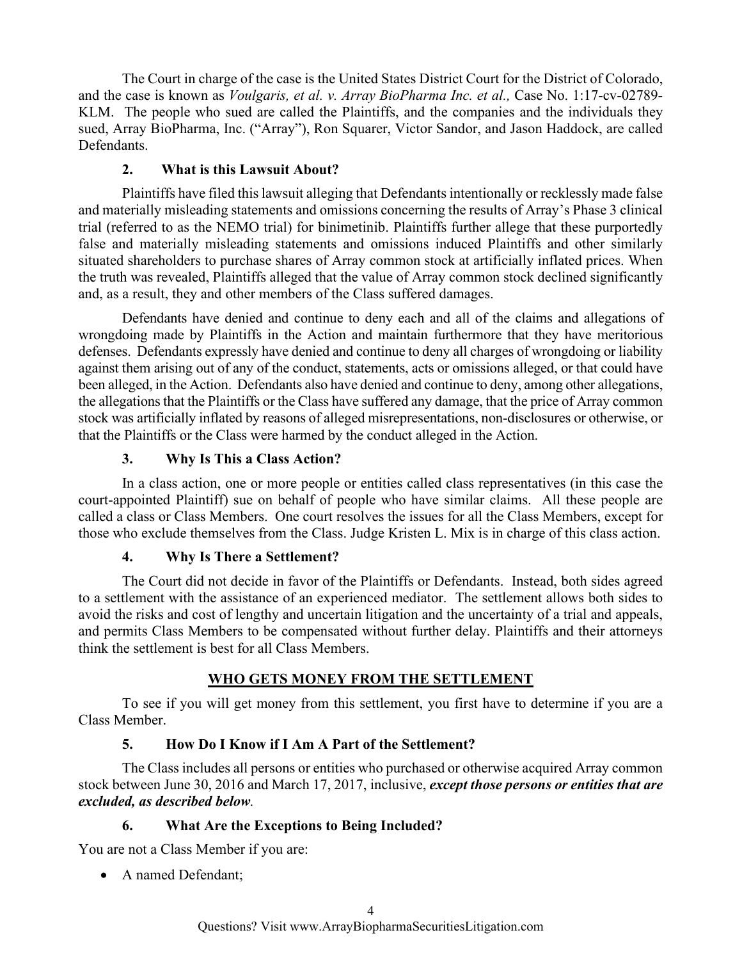The Court in charge of the case is the United States District Court for the District of Colorado, and the case is known as *Voulgaris, et al. v. Array BioPharma Inc. et al.,* Case No. 1:17-cv-02789- KLM. The people who sued are called the Plaintiffs, and the companies and the individuals they sued, Array BioPharma, Inc. ("Array"), Ron Squarer, Victor Sandor, and Jason Haddock, are called Defendants.

# **2. What is this Lawsuit About?**

Plaintiffs have filed this lawsuit alleging that Defendants intentionally or recklessly made false and materially misleading statements and omissions concerning the results of Array's Phase 3 clinical trial (referred to as the NEMO trial) for binimetinib. Plaintiffs further allege that these purportedly false and materially misleading statements and omissions induced Plaintiffs and other similarly situated shareholders to purchase shares of Array common stock at artificially inflated prices. When the truth was revealed, Plaintiffs alleged that the value of Array common stock declined significantly and, as a result, they and other members of the Class suffered damages.

Defendants have denied and continue to deny each and all of the claims and allegations of wrongdoing made by Plaintiffs in the Action and maintain furthermore that they have meritorious defenses. Defendants expressly have denied and continue to deny all charges of wrongdoing or liability against them arising out of any of the conduct, statements, acts or omissions alleged, or that could have been alleged, in the Action. Defendants also have denied and continue to deny, among other allegations, the allegations that the Plaintiffs or the Class have suffered any damage, that the price of Array common stock was artificially inflated by reasons of alleged misrepresentations, non-disclosures or otherwise, or that the Plaintiffs or the Class were harmed by the conduct alleged in the Action.

## **3. Why Is This a Class Action?**

In a class action, one or more people or entities called class representatives (in this case the court-appointed Plaintiff) sue on behalf of people who have similar claims. All these people are called a class or Class Members. One court resolves the issues for all the Class Members, except for those who exclude themselves from the Class. Judge Kristen L. Mix is in charge of this class action.

## **4. Why Is There a Settlement?**

The Court did not decide in favor of the Plaintiffs or Defendants. Instead, both sides agreed to a settlement with the assistance of an experienced mediator. The settlement allows both sides to avoid the risks and cost of lengthy and uncertain litigation and the uncertainty of a trial and appeals, and permits Class Members to be compensated without further delay. Plaintiffs and their attorneys think the settlement is best for all Class Members.

# **WHO GETS MONEY FROM THE SETTLEMENT**

 To see if you will get money from this settlement, you first have to determine if you are a Class Member.

# **5. How Do I Know if I Am A Part of the Settlement?**

 The Class includes all persons or entities who purchased or otherwise acquired Array common stock between June 30, 2016 and March 17, 2017, inclusive, *except those persons or entities that are excluded, as described below.* 

# **6. What Are the Exceptions to Being Included?**

You are not a Class Member if you are:

• A named Defendant;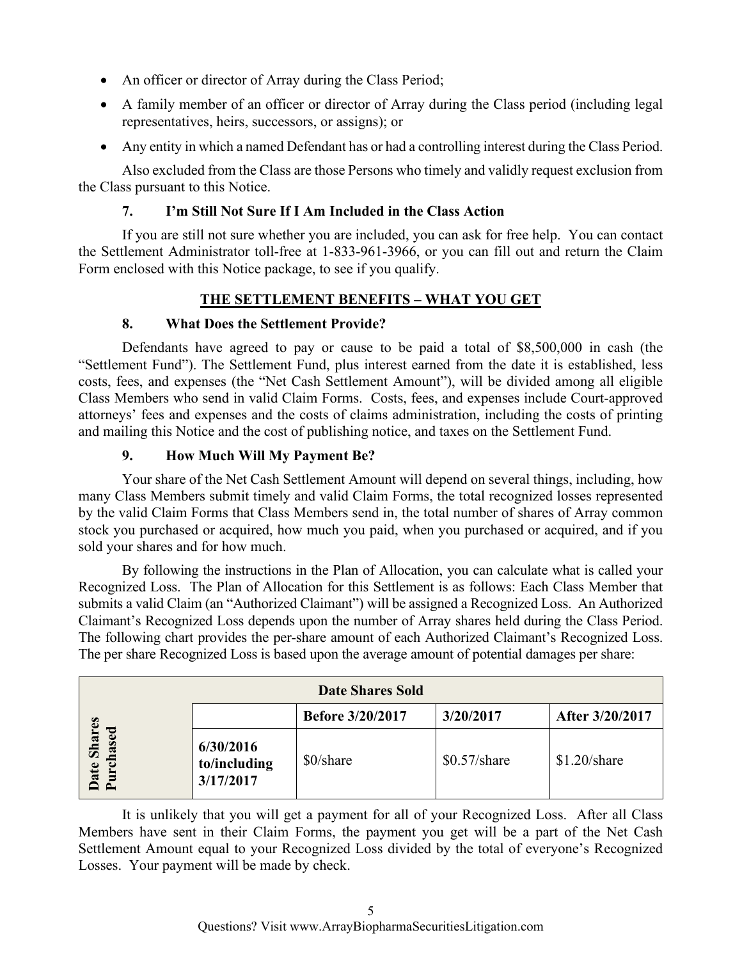- An officer or director of Array during the Class Period;
- A family member of an officer or director of Array during the Class period (including legal representatives, heirs, successors, or assigns); or
- Any entity in which a named Defendant has or had a controlling interest during the Class Period.

Also excluded from the Class are those Persons who timely and validly request exclusion from the Class pursuant to this Notice.

# **7. I'm Still Not Sure If I Am Included in the Class Action**

If you are still not sure whether you are included, you can ask for free help. You can contact the Settlement Administrator toll-free at 1-833-961-3966, or you can fill out and return the Claim Form enclosed with this Notice package, to see if you qualify.

# **THE SETTLEMENT BENEFITS – WHAT YOU GET**

## **8. What Does the Settlement Provide?**

 Defendants have agreed to pay or cause to be paid a total of \$8,500,000 in cash (the "Settlement Fund"). The Settlement Fund, plus interest earned from the date it is established, less costs, fees, and expenses (the "Net Cash Settlement Amount"), will be divided among all eligible Class Members who send in valid Claim Forms. Costs, fees, and expenses include Court-approved attorneys' fees and expenses and the costs of claims administration, including the costs of printing and mailing this Notice and the cost of publishing notice, and taxes on the Settlement Fund.

## **9. How Much Will My Payment Be?**

Your share of the Net Cash Settlement Amount will depend on several things, including, how many Class Members submit timely and valid Claim Forms, the total recognized losses represented by the valid Claim Forms that Class Members send in, the total number of shares of Array common stock you purchased or acquired, how much you paid, when you purchased or acquired, and if you sold your shares and for how much.

By following the instructions in the Plan of Allocation, you can calculate what is called your Recognized Loss. The Plan of Allocation for this Settlement is as follows: Each Class Member that submits a valid Claim (an "Authorized Claimant") will be assigned a Recognized Loss. An Authorized Claimant's Recognized Loss depends upon the number of Array shares held during the Class Period. The following chart provides the per-share amount of each Authorized Claimant's Recognized Loss. The per share Recognized Loss is based upon the average amount of potential damages per share:

| <b>Date Shares Sold</b>                                       |                                        |                         |                |                 |  |  |
|---------------------------------------------------------------|----------------------------------------|-------------------------|----------------|-----------------|--|--|
|                                                               |                                        | <b>Before 3/20/2017</b> | 3/20/2017      | After 3/20/2017 |  |  |
| <b>Shares</b><br>್ಪಾ<br>as<br><b>Date</b><br>$\tilde{r}$<br>≏ | 6/30/2016<br>to/including<br>3/17/2017 | \$0/share               | $$0.57$ /share | $$1.20/s$ hare  |  |  |

It is unlikely that you will get a payment for all of your Recognized Loss. After all Class Members have sent in their Claim Forms, the payment you get will be a part of the Net Cash Settlement Amount equal to your Recognized Loss divided by the total of everyone's Recognized Losses. Your payment will be made by check.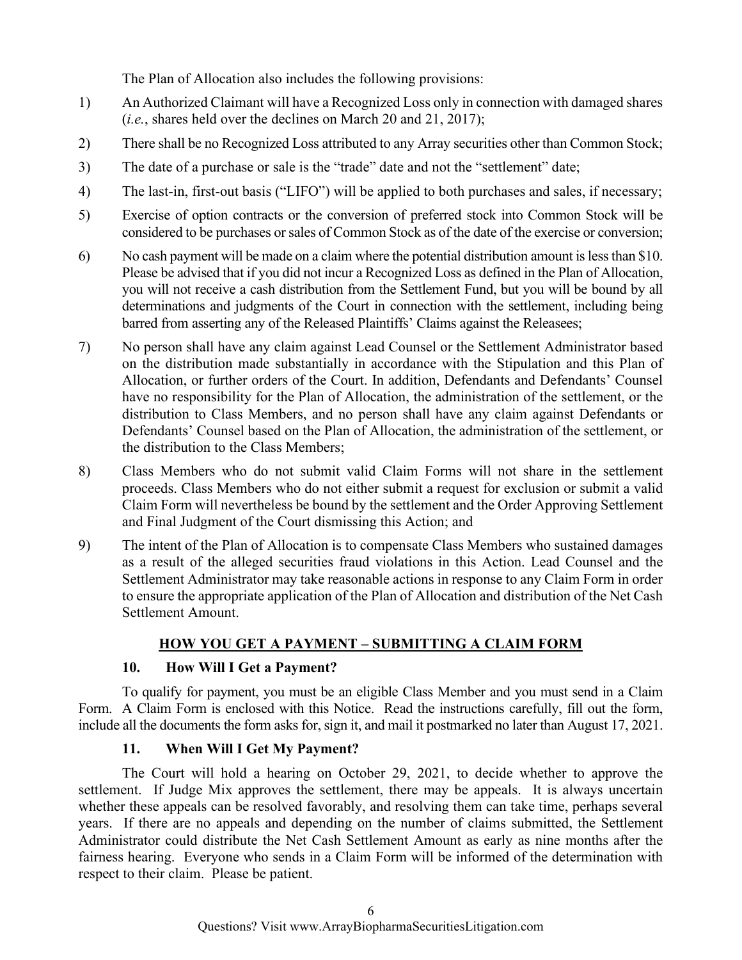The Plan of Allocation also includes the following provisions:

- 1) An Authorized Claimant will have a Recognized Loss only in connection with damaged shares (*i.e.*, shares held over the declines on March 20 and 21, 2017);
- 2) There shall be no Recognized Loss attributed to any Array securities other than Common Stock;
- 3) The date of a purchase or sale is the "trade" date and not the "settlement" date;
- 4) The last-in, first-out basis ("LIFO") will be applied to both purchases and sales, if necessary;
- 5) Exercise of option contracts or the conversion of preferred stock into Common Stock will be considered to be purchases or sales of Common Stock as of the date of the exercise or conversion;
- 6) No cash payment will be made on a claim where the potential distribution amount is less than \$10. Please be advised that if you did not incur a Recognized Loss as defined in the Plan of Allocation, you will not receive a cash distribution from the Settlement Fund, but you will be bound by all determinations and judgments of the Court in connection with the settlement, including being barred from asserting any of the Released Plaintiffs' Claims against the Releasees;
- 7) No person shall have any claim against Lead Counsel or the Settlement Administrator based on the distribution made substantially in accordance with the Stipulation and this Plan of Allocation, or further orders of the Court. In addition, Defendants and Defendants' Counsel have no responsibility for the Plan of Allocation, the administration of the settlement, or the distribution to Class Members, and no person shall have any claim against Defendants or Defendants' Counsel based on the Plan of Allocation, the administration of the settlement, or the distribution to the Class Members;
- 8) Class Members who do not submit valid Claim Forms will not share in the settlement proceeds. Class Members who do not either submit a request for exclusion or submit a valid Claim Form will nevertheless be bound by the settlement and the Order Approving Settlement and Final Judgment of the Court dismissing this Action; and
- 9) The intent of the Plan of Allocation is to compensate Class Members who sustained damages as a result of the alleged securities fraud violations in this Action. Lead Counsel and the Settlement Administrator may take reasonable actions in response to any Claim Form in order to ensure the appropriate application of the Plan of Allocation and distribution of the Net Cash Settlement Amount.

# **HOW YOU GET A PAYMENT – SUBMITTING A CLAIM FORM**

## **10. How Will I Get a Payment?**

To qualify for payment, you must be an eligible Class Member and you must send in a Claim Form. A Claim Form is enclosed with this Notice. Read the instructions carefully, fill out the form, include all the documents the form asks for, sign it, and mail it postmarked no later than August 17, 2021.

## **11. When Will I Get My Payment?**

 The Court will hold a hearing on October 29, 2021, to decide whether to approve the settlement. If Judge Mix approves the settlement, there may be appeals. It is always uncertain whether these appeals can be resolved favorably, and resolving them can take time, perhaps several years. If there are no appeals and depending on the number of claims submitted, the Settlement Administrator could distribute the Net Cash Settlement Amount as early as nine months after the fairness hearing. Everyone who sends in a Claim Form will be informed of the determination with respect to their claim. Please be patient.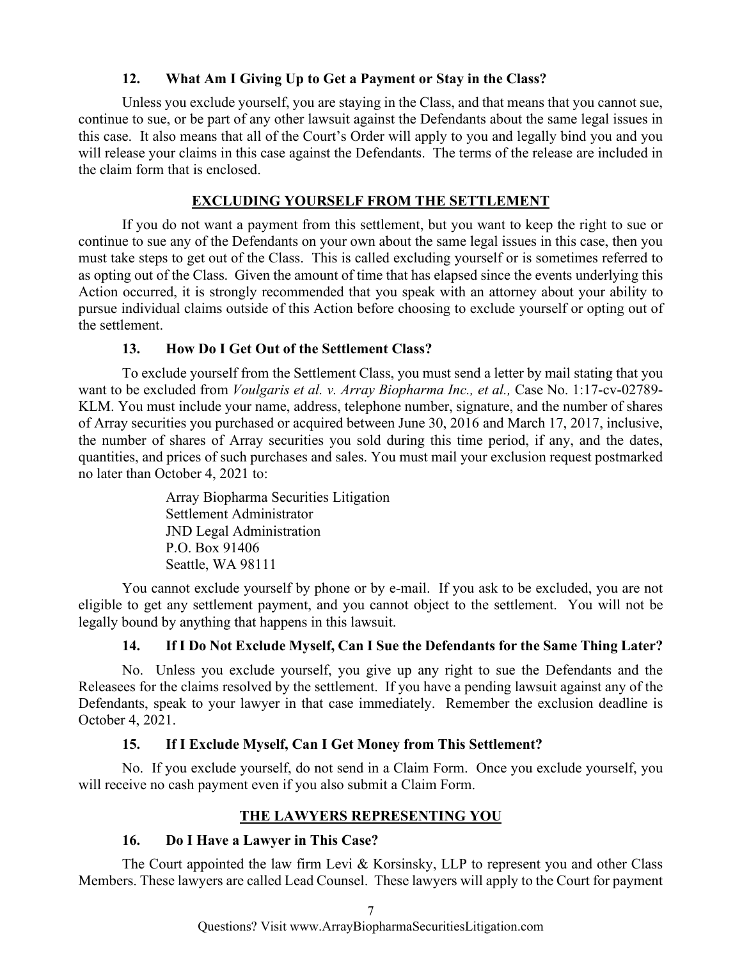## **12. What Am I Giving Up to Get a Payment or Stay in the Class?**

 Unless you exclude yourself, you are staying in the Class, and that means that you cannot sue, continue to sue, or be part of any other lawsuit against the Defendants about the same legal issues in this case. It also means that all of the Court's Order will apply to you and legally bind you and you will release your claims in this case against the Defendants. The terms of the release are included in the claim form that is enclosed.

## **EXCLUDING YOURSELF FROM THE SETTLEMENT**

 If you do not want a payment from this settlement, but you want to keep the right to sue or continue to sue any of the Defendants on your own about the same legal issues in this case, then you must take steps to get out of the Class. This is called excluding yourself or is sometimes referred to as opting out of the Class. Given the amount of time that has elapsed since the events underlying this Action occurred, it is strongly recommended that you speak with an attorney about your ability to pursue individual claims outside of this Action before choosing to exclude yourself or opting out of the settlement.

## **13. How Do I Get Out of the Settlement Class?**

 To exclude yourself from the Settlement Class, you must send a letter by mail stating that you want to be excluded from *Voulgaris et al. v. Array Biopharma Inc., et al.,* Case No. 1:17-cv-02789- KLM. You must include your name, address, telephone number, signature, and the number of shares of Array securities you purchased or acquired between June 30, 2016 and March 17, 2017, inclusive, the number of shares of Array securities you sold during this time period, if any, and the dates, quantities, and prices of such purchases and sales. You must mail your exclusion request postmarked no later than October 4, 2021 to:

> Array Biopharma Securities Litigation Settlement Administrator JND Legal Administration P.O. Box 91406 Seattle, WA 98111

 You cannot exclude yourself by phone or by e-mail. If you ask to be excluded, you are not eligible to get any settlement payment, and you cannot object to the settlement. You will not be legally bound by anything that happens in this lawsuit.

# **14. If I Do Not Exclude Myself, Can I Sue the Defendants for the Same Thing Later?**

 No. Unless you exclude yourself, you give up any right to sue the Defendants and the Releasees for the claims resolved by the settlement. If you have a pending lawsuit against any of the Defendants, speak to your lawyer in that case immediately. Remember the exclusion deadline is October 4, 2021.

# **15. If I Exclude Myself, Can I Get Money from This Settlement?**

No. If you exclude yourself, do not send in a Claim Form. Once you exclude yourself, you will receive no cash payment even if you also submit a Claim Form.

## **THE LAWYERS REPRESENTING YOU**

# **16. Do I Have a Lawyer in This Case?**

The Court appointed the law firm Levi & Korsinsky, LLP to represent you and other Class Members. These lawyers are called Lead Counsel. These lawyers will apply to the Court for payment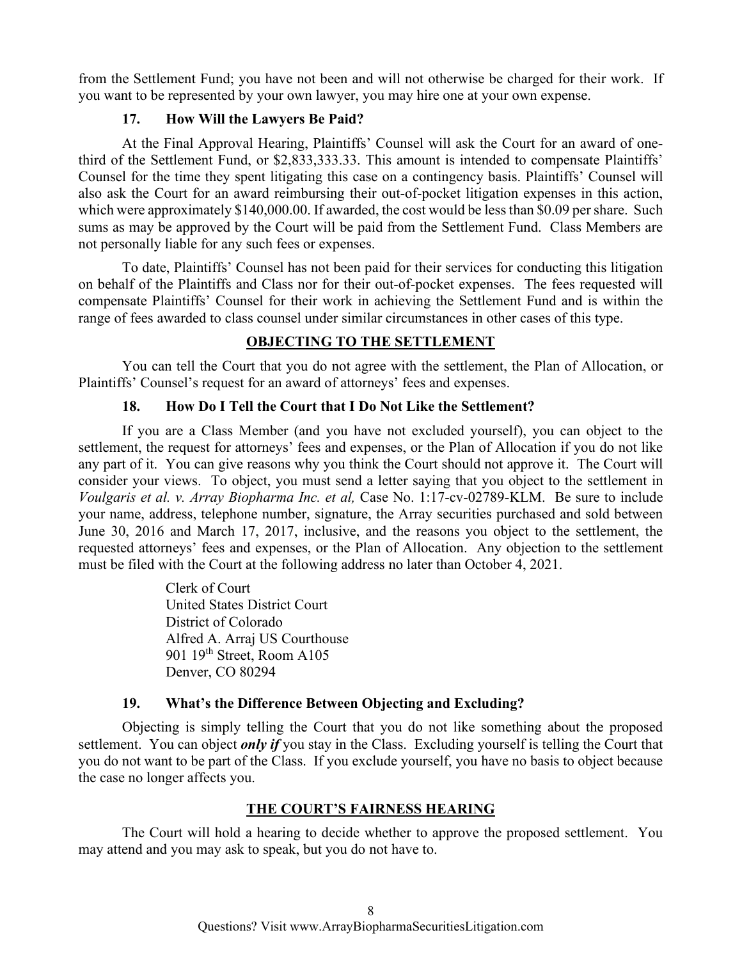from the Settlement Fund; you have not been and will not otherwise be charged for their work. If you want to be represented by your own lawyer, you may hire one at your own expense.

## **17. How Will the Lawyers Be Paid?**

 At the Final Approval Hearing, Plaintiffs' Counsel will ask the Court for an award of onethird of the Settlement Fund, or \$2,833,333.33. This amount is intended to compensate Plaintiffs' Counsel for the time they spent litigating this case on a contingency basis. Plaintiffs' Counsel will also ask the Court for an award reimbursing their out-of-pocket litigation expenses in this action, which were approximately \$140,000.00. If awarded, the cost would be less than \$0.09 per share. Such sums as may be approved by the Court will be paid from the Settlement Fund. Class Members are not personally liable for any such fees or expenses.

 To date, Plaintiffs' Counsel has not been paid for their services for conducting this litigation on behalf of the Plaintiffs and Class nor for their out-of-pocket expenses. The fees requested will compensate Plaintiffs' Counsel for their work in achieving the Settlement Fund and is within the range of fees awarded to class counsel under similar circumstances in other cases of this type.

## **OBJECTING TO THE SETTLEMENT**

 You can tell the Court that you do not agree with the settlement, the Plan of Allocation, or Plaintiffs' Counsel's request for an award of attorneys' fees and expenses.

## **18. How Do I Tell the Court that I Do Not Like the Settlement?**

 If you are a Class Member (and you have not excluded yourself), you can object to the settlement, the request for attorneys' fees and expenses, or the Plan of Allocation if you do not like any part of it. You can give reasons why you think the Court should not approve it. The Court will consider your views. To object, you must send a letter saying that you object to the settlement in *Voulgaris et al. v. Array Biopharma Inc. et al,* Case No. 1:17-cv-02789-KLM. Be sure to include your name, address, telephone number, signature, the Array securities purchased and sold between June 30, 2016 and March 17, 2017, inclusive, and the reasons you object to the settlement, the requested attorneys' fees and expenses, or the Plan of Allocation. Any objection to the settlement must be filed with the Court at the following address no later than October 4, 2021.

> Clerk of Court United States District Court District of Colorado Alfred A. Arraj US Courthouse 901 19<sup>th</sup> Street, Room A105 Denver, CO 80294

## **19. What's the Difference Between Objecting and Excluding?**

 Objecting is simply telling the Court that you do not like something about the proposed settlement. You can object *only if* you stay in the Class. Excluding yourself is telling the Court that you do not want to be part of the Class. If you exclude yourself, you have no basis to object because the case no longer affects you.

## **THE COURT'S FAIRNESS HEARING**

 The Court will hold a hearing to decide whether to approve the proposed settlement. You may attend and you may ask to speak, but you do not have to.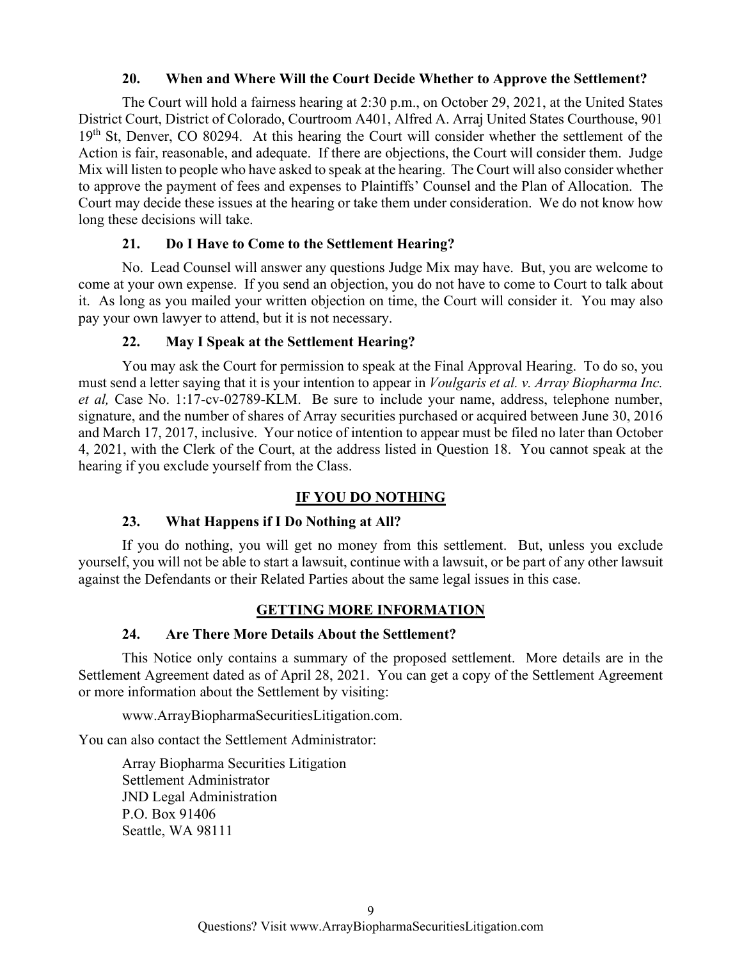#### **20. When and Where Will the Court Decide Whether to Approve the Settlement?**

The Court will hold a fairness hearing at 2:30 p.m., on October 29, 2021, at the United States District Court, District of Colorado, Courtroom A401, Alfred A. Arraj United States Courthouse, 901 19<sup>th</sup> St, Denver, CO 80294. At this hearing the Court will consider whether the settlement of the Action is fair, reasonable, and adequate. If there are objections, the Court will consider them. Judge Mix will listen to people who have asked to speak at the hearing. The Court will also consider whether to approve the payment of fees and expenses to Plaintiffs' Counsel and the Plan of Allocation. The Court may decide these issues at the hearing or take them under consideration. We do not know how long these decisions will take.

#### **21. Do I Have to Come to the Settlement Hearing?**

 No. Lead Counsel will answer any questions Judge Mix may have. But, you are welcome to come at your own expense. If you send an objection, you do not have to come to Court to talk about it. As long as you mailed your written objection on time, the Court will consider it. You may also pay your own lawyer to attend, but it is not necessary.

#### **22. May I Speak at the Settlement Hearing?**

 You may ask the Court for permission to speak at the Final Approval Hearing. To do so, you must send a letter saying that it is your intention to appear in *Voulgaris et al. v. Array Biopharma Inc. et al,* Case No. 1:17-cv-02789-KLM. Be sure to include your name, address, telephone number, signature, and the number of shares of Array securities purchased or acquired between June 30, 2016 and March 17, 2017, inclusive. Your notice of intention to appear must be filed no later than October 4, 2021, with the Clerk of the Court, at the address listed in Question 18. You cannot speak at the hearing if you exclude yourself from the Class.

## **IF YOU DO NOTHING**

## **23. What Happens if I Do Nothing at All?**

If you do nothing, you will get no money from this settlement. But, unless you exclude yourself, you will not be able to start a lawsuit, continue with a lawsuit, or be part of any other lawsuit against the Defendants or their Related Parties about the same legal issues in this case.

## **GETTING MORE INFORMATION**

## **24. Are There More Details About the Settlement?**

This Notice only contains a summary of the proposed settlement. More details are in the Settlement Agreement dated as of April 28, 2021. You can get a copy of the Settlement Agreement or more information about the Settlement by visiting:

www.ArrayBiopharmaSecuritiesLitigation.com.

You can also contact the Settlement Administrator:

 Array Biopharma Securities Litigation Settlement Administrator JND Legal Administration P.O. Box 91406 Seattle, WA 98111